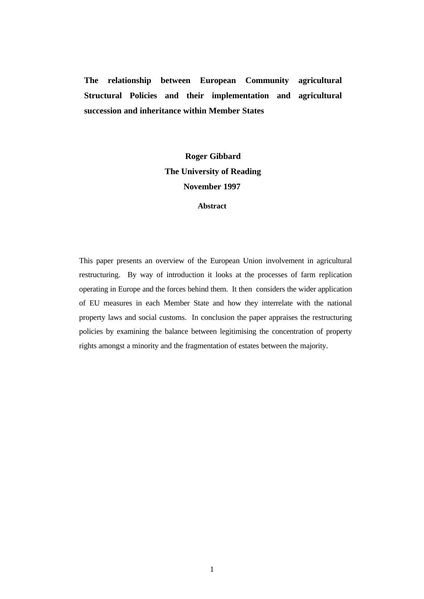**The relationship between European Community agricultural Structural Policies and their implementation and agricultural succession and inheritance within Member States**

# **Roger Gibbard The University of Reading November 1997**

## **Abstract**

This paper presents an overview of the European Union involvement in agricultural restructuring. By way of introduction it looks at the processes of farm replication operating in Europe and the forces behind them. It then considers the wider application of EU measures in each Member State and how they interrelate with the national property laws and social customs. In conclusion the paper appraises the restructuring policies by examining the balance between legitimising the concentration of property rights amongst a minority and the fragmentation of estates between the majority.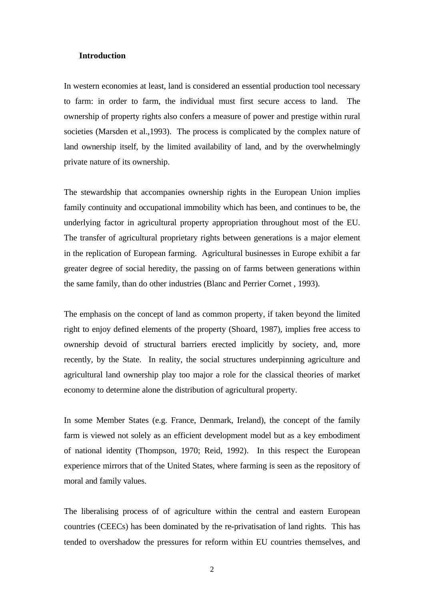#### **Introduction**

In western economies at least, land is considered an essential production tool necessary to farm: in order to farm, the individual must first secure access to land. The ownership of property rights also confers a measure of power and prestige within rural societies (Marsden et al.,1993). The process is complicated by the complex nature of land ownership itself, by the limited availability of land, and by the overwhelmingly private nature of its ownership.

The stewardship that accompanies ownership rights in the European Union implies family continuity and occupational immobility which has been, and continues to be, the underlying factor in agricultural property appropriation throughout most of the EU. The transfer of agricultural proprietary rights between generations is a major element in the replication of European farming. Agricultural businesses in Europe exhibit a far greater degree of social heredity, the passing on of farms between generations within the same family, than do other industries (Blanc and Perrier Cornet , 1993).

The emphasis on the concept of land as common property, if taken beyond the limited right to enjoy defined elements of the property (Shoard, 1987), implies free access to ownership devoid of structural barriers erected implicitly by society, and, more recently, by the State. In reality, the social structures underpinning agriculture and agricultural land ownership play too major a role for the classical theories of market economy to determine alone the distribution of agricultural property.

In some Member States (e.g. France, Denmark, Ireland), the concept of the family farm is viewed not solely as an efficient development model but as a key embodiment of national identity (Thompson, 1970; Reid, 1992). In this respect the European experience mirrors that of the United States, where farming is seen as the repository of moral and family values.

The liberalising process of of agriculture within the central and eastern European countries (CEECs) has been dominated by the re-privatisation of land rights. This has tended to overshadow the pressures for reform within EU countries themselves, and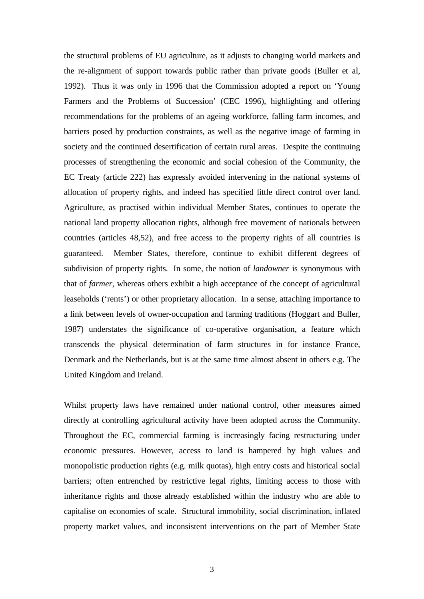the structural problems of EU agriculture, as it adjusts to changing world markets and the re-alignment of support towards public rather than private goods (Buller et al, 1992). Thus it was only in 1996 that the Commission adopted a report on 'Young Farmers and the Problems of Succession' (CEC 1996), highlighting and offering recommendations for the problems of an ageing workforce, falling farm incomes, and barriers posed by production constraints, as well as the negative image of farming in society and the continued desertification of certain rural areas. Despite the continuing processes of strengthening the economic and social cohesion of the Community, the EC Treaty (article 222) has expressly avoided intervening in the national systems of allocation of property rights, and indeed has specified little direct control over land. Agriculture, as practised within individual Member States, continues to operate the national land property allocation rights, although free movement of nationals between countries (articles 48,52), and free access to the property rights of all countries is guaranteed. Member States, therefore, continue to exhibit different degrees of subdivision of property rights. In some, the notion of *landowner* is synonymous with that of *farmer*, whereas others exhibit a high acceptance of the concept of agricultural leaseholds ('rents') or other proprietary allocation. In a sense, attaching importance to a link between levels of owner-occupation and farming traditions (Hoggart and Buller, 1987) understates the significance of co-operative organisation, a feature which transcends the physical determination of farm structures in for instance France, Denmark and the Netherlands, but is at the same time almost absent in others e.g. The United Kingdom and Ireland.

Whilst property laws have remained under national control, other measures aimed directly at controlling agricultural activity have been adopted across the Community. Throughout the EC, commercial farming is increasingly facing restructuring under economic pressures. However, access to land is hampered by high values and monopolistic production rights (e.g. milk quotas), high entry costs and historical social barriers; often entrenched by restrictive legal rights, limiting access to those with inheritance rights and those already established within the industry who are able to capitalise on economies of scale. Structural immobility, social discrimination, inflated property market values, and inconsistent interventions on the part of Member State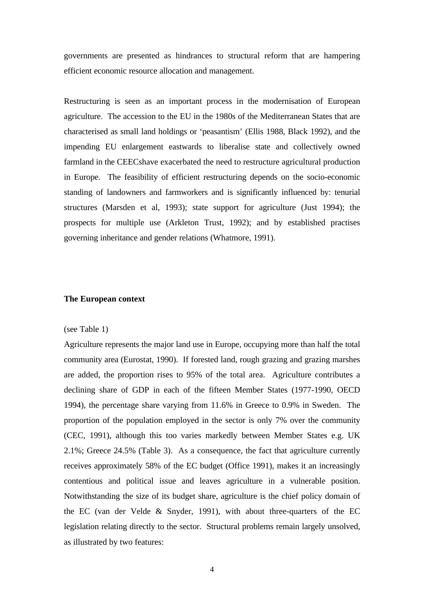governments are presented as hindrances to structural reform that are hampering efficient economic resource allocation and management.

Restructuring is seen as an important process in the modernisation of European agriculture. The accession to the EU in the 1980s of the Mediterranean States that are characterised as small land holdings or 'peasantism' (Ellis 1988, Black 1992), and the impending EU enlargement eastwards to liberalise state and collectively owned farmland in the CEECshave exacerbated the need to restructure agricultural production in Europe. The feasibility of efficient restructuring depends on the socio-economic standing of landowners and farmworkers and is significantly influenced by: tenurial structures (Marsden et al, 1993); state support for agriculture (Just 1994); the prospects for multiple use (Arkleton Trust, 1992); and by established practises governing inheritance and gender relations (Whatmore, 1991).

#### **The European context**

#### (see Table 1)

Agriculture represents the major land use in Europe, occupying more than half the total community area (Eurostat, 1990). If forested land, rough grazing and grazing marshes are added, the proportion rises to 95% of the total area. Agriculture contributes a declining share of GDP in each of the fifteen Member States (1977-1990, OECD 1994), the percentage share varying from 11.6% in Greece to 0.9% in Sweden. The proportion of the population employed in the sector is only 7% over the community (CEC, 1991), although this too varies markedly between Member States e.g. UK 2.1%; Greece 24.5% (Table 3). As a consequence, the fact that agriculture currently receives approximately 58% of the EC budget (Office 1991), makes it an increasingly contentious and political issue and leaves agriculture in a vulnerable position. Notwithstanding the size of its budget share, agriculture is the chief policy domain of the EC (van der Velde & Snyder, 1991), with about three-quarters of the EC legislation relating directly to the sector. Structural problems remain largely unsolved, as illustrated by two features: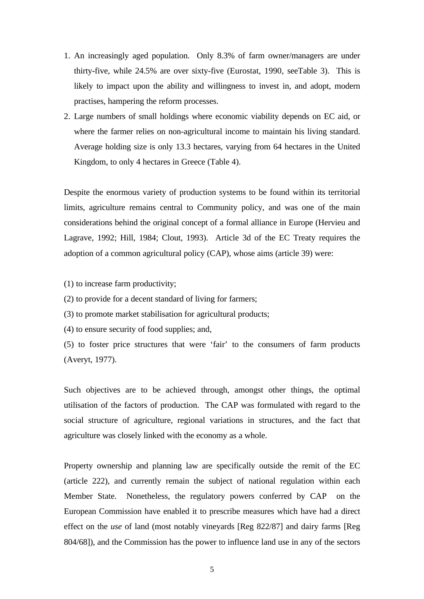- 1. An increasingly aged population. Only 8.3% of farm owner/managers are under thirty-five, while 24.5% are over sixty-five (Eurostat, 1990, seeTable 3). This is likely to impact upon the ability and willingness to invest in, and adopt, modern practises, hampering the reform processes.
- 2. Large numbers of small holdings where economic viability depends on EC aid, or where the farmer relies on non-agricultural income to maintain his living standard. Average holding size is only 13.3 hectares, varying from 64 hectares in the United Kingdom, to only 4 hectares in Greece (Table 4).

Despite the enormous variety of production systems to be found within its territorial limits, agriculture remains central to Community policy, and was one of the main considerations behind the original concept of a formal alliance in Europe (Hervieu and Lagrave, 1992; Hill, 1984; Clout, 1993). Article 3d of the EC Treaty requires the adoption of a common agricultural policy (CAP), whose aims (article 39) were:

- (1) to increase farm productivity;
- (2) to provide for a decent standard of living for farmers;
- (3) to promote market stabilisation for agricultural products;
- (4) to ensure security of food supplies; and,
- (5) to foster price structures that were 'fair' to the consumers of farm products (Averyt, 1977).

Such objectives are to be achieved through, amongst other things, the optimal utilisation of the factors of production. The CAP was formulated with regard to the social structure of agriculture, regional variations in structures, and the fact that agriculture was closely linked with the economy as a whole.

Property ownership and planning law are specifically outside the remit of the EC (article 222), and currently remain the subject of national regulation within each Member State. Nonetheless, the regulatory powers conferred by CAP on the European Commission have enabled it to prescribe measures which have had a direct effect on the *use* of land (most notably vineyards [Reg 822/87] and dairy farms [Reg 804/68]), and the Commission has the power to influence land use in any of the sectors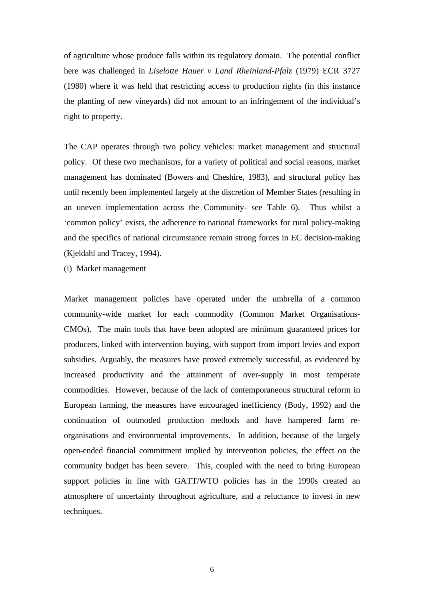of agriculture whose produce falls within its regulatory domain. The potential conflict here was challenged in *Liselotte Hauer v Land Rheinland-Pfalz* (1979) ECR 3727 (1980) where it was held that restricting access to production rights (in this instance the planting of new vineyards) did not amount to an infringement of the individual's right to property.

The CAP operates through two policy vehicles: market management and structural policy. Of these two mechanisms, for a variety of political and social reasons, market management has dominated (Bowers and Cheshire, 1983), and structural policy has until recently been implemented largely at the discretion of Member States (resulting in an uneven implementation across the Community- see Table 6). Thus whilst a 'common policy' exists, the adherence to national frameworks for rural policy-making and the specifics of national circumstance remain strong forces in EC decision-making (Kjeldahl and Tracey, 1994).

(i) Market management

Market management policies have operated under the umbrella of a common community-wide market for each commodity (Common Market Organisations-CMOs). The main tools that have been adopted are minimum guaranteed prices for producers, linked with intervention buying, with support from import levies and export subsidies. Arguably, the measures have proved extremely successful, as evidenced by increased productivity and the attainment of over-supply in most temperate commodities. However, because of the lack of contemporaneous structural reform in European farming, the measures have encouraged inefficiency (Body, 1992) and the continuation of outmoded production methods and have hampered farm reorganisations and environmental improvements. In addition, because of the largely open-ended financial commitment implied by intervention policies, the effect on the community budget has been severe. This, coupled with the need to bring European support policies in line with GATT/WTO policies has in the 1990s created an atmosphere of uncertainty throughout agriculture, and a reluctance to invest in new techniques.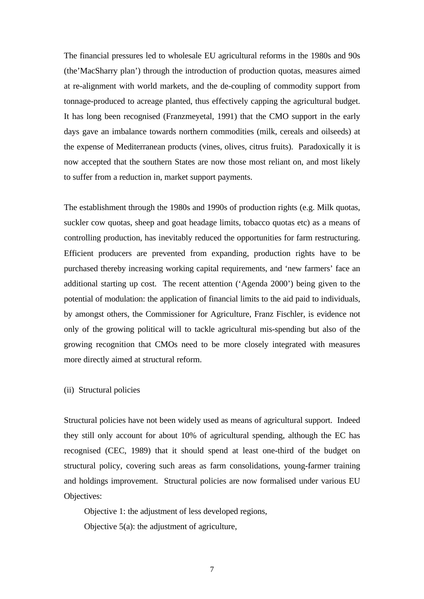The financial pressures led to wholesale EU agricultural reforms in the 1980s and 90s (the'MacSharry plan') through the introduction of production quotas, measures aimed at re-alignment with world markets, and the de-coupling of commodity support from tonnage-produced to acreage planted, thus effectively capping the agricultural budget. It has long been recognised (Franzmeyetal, 1991) that the CMO support in the early days gave an imbalance towards northern commodities (milk, cereals and oilseeds) at the expense of Mediterranean products (vines, olives, citrus fruits). Paradoxically it is now accepted that the southern States are now those most reliant on, and most likely to suffer from a reduction in, market support payments.

The establishment through the 1980s and 1990s of production rights (e.g. Milk quotas, suckler cow quotas, sheep and goat headage limits, tobacco quotas etc) as a means of controlling production, has inevitably reduced the opportunities for farm restructuring. Efficient producers are prevented from expanding, production rights have to be purchased thereby increasing working capital requirements, and 'new farmers' face an additional starting up cost. The recent attention ('Agenda 2000') being given to the potential of modulation: the application of financial limits to the aid paid to individuals, by amongst others, the Commissioner for Agriculture, Franz Fischler, is evidence not only of the growing political will to tackle agricultural mis-spending but also of the growing recognition that CMOs need to be more closely integrated with measures more directly aimed at structural reform.

(ii) Structural policies

Structural policies have not been widely used as means of agricultural support. Indeed they still only account for about 10% of agricultural spending, although the EC has recognised (CEC, 1989) that it should spend at least one-third of the budget on structural policy, covering such areas as farm consolidations, young-farmer training and holdings improvement. Structural policies are now formalised under various EU Objectives:

Objective 1: the adjustment of less developed regions, Objective 5(a): the adjustment of agriculture,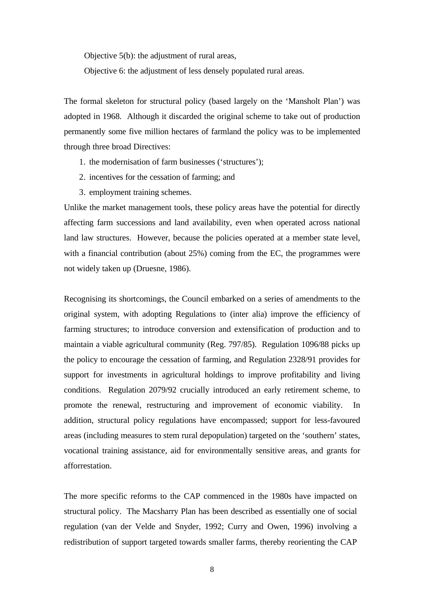Objective 5(b): the adjustment of rural areas,

Objective 6: the adjustment of less densely populated rural areas.

The formal skeleton for structural policy (based largely on the 'Mansholt Plan') was adopted in 1968. Although it discarded the original scheme to take out of production permanently some five million hectares of farmland the policy was to be implemented through three broad Directives:

- 1. the modernisation of farm businesses ('structures');
- 2. incentives for the cessation of farming; and
- 3. employment training schemes.

Unlike the market management tools, these policy areas have the potential for directly affecting farm successions and land availability, even when operated across national land law structures. However, because the policies operated at a member state level, with a financial contribution (about 25%) coming from the EC, the programmes were not widely taken up (Druesne, 1986).

Recognising its shortcomings, the Council embarked on a series of amendments to the original system, with adopting Regulations to (inter alia) improve the efficiency of farming structures; to introduce conversion and extensification of production and to maintain a viable agricultural community (Reg. 797/85). Regulation 1096/88 picks up the policy to encourage the cessation of farming, and Regulation 2328/91 provides for support for investments in agricultural holdings to improve profitability and living conditions. Regulation 2079/92 crucially introduced an early retirement scheme, to promote the renewal, restructuring and improvement of economic viability. In addition, structural policy regulations have encompassed; support for less-favoured areas (including measures to stem rural depopulation) targeted on the 'southern' states, vocational training assistance, aid for environmentally sensitive areas, and grants for afforrestation.

The more specific reforms to the CAP commenced in the 1980s have impacted on structural policy. The Macsharry Plan has been described as essentially one of social regulation (van der Velde and Snyder, 1992; Curry and Owen, 1996) involving a redistribution of support targeted towards smaller farms, thereby reorienting the CAP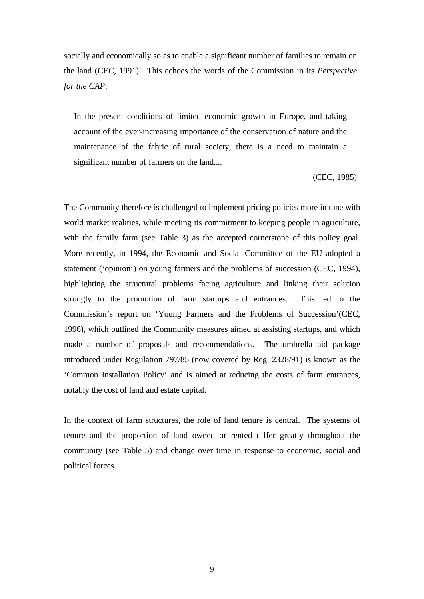socially and economically so as to enable a significant number of families to remain on the land (CEC, 1991). This echoes the words of the Commission in its *Perspective for the CAP*:

In the present conditions of limited economic growth in Europe, and taking account of the ever-increasing importance of the conservation of nature and the maintenance of the fabric of rural society, there is a need to maintain a significant number of farmers on the land....

(CEC, 1985)

The Community therefore is challenged to implement pricing policies more in tune with world market realities, while meeting its commitment to keeping people in agriculture, with the family farm (see Table 3) as the accepted cornerstone of this policy goal. More recently, in 1994, the Economic and Social Committee of the EU adopted a statement ('opinion') on young farmers and the problems of succession (CEC, 1994), highlighting the structural problems facing agriculture and linking their solution strongly to the promotion of farm startups and entrances. This led to the Commission's report on 'Young Farmers and the Problems of Succession'(CEC, 1996), which outlined the Community measures aimed at assisting startups, and which made a number of proposals and recommendations. The umbrella aid package introduced under Regulation 797/85 (now covered by Reg. 2328/91) is known as the 'Common Installation Policy' and is aimed at reducing the costs of farm entrances, notably the cost of land and estate capital.

In the context of farm structures, the role of land tenure is central. The systems of tenure and the proportion of land owned or rented differ greatly throughout the community (see Table 5) and change over time in response to economic, social and political forces.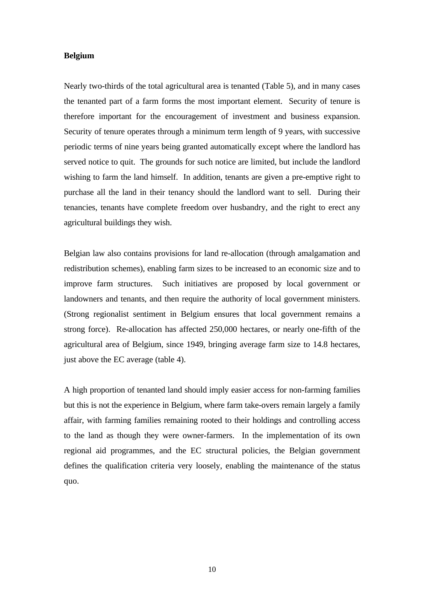## **Belgium**

Nearly two-thirds of the total agricultural area is tenanted (Table 5), and in many cases the tenanted part of a farm forms the most important element. Security of tenure is therefore important for the encouragement of investment and business expansion. Security of tenure operates through a minimum term length of 9 years, with successive periodic terms of nine years being granted automatically except where the landlord has served notice to quit. The grounds for such notice are limited, but include the landlord wishing to farm the land himself. In addition, tenants are given a pre-emptive right to purchase all the land in their tenancy should the landlord want to sell. During their tenancies, tenants have complete freedom over husbandry, and the right to erect any agricultural buildings they wish.

Belgian law also contains provisions for land re-allocation (through amalgamation and redistribution schemes), enabling farm sizes to be increased to an economic size and to improve farm structures. Such initiatives are proposed by local government or landowners and tenants, and then require the authority of local government ministers. (Strong regionalist sentiment in Belgium ensures that local government remains a strong force). Re-allocation has affected 250,000 hectares, or nearly one-fifth of the agricultural area of Belgium, since 1949, bringing average farm size to 14.8 hectares, just above the EC average (table 4).

A high proportion of tenanted land should imply easier access for non-farming families but this is not the experience in Belgium, where farm take-overs remain largely a family affair, with farming families remaining rooted to their holdings and controlling access to the land as though they were owner-farmers. In the implementation of its own regional aid programmes, and the EC structural policies, the Belgian government defines the qualification criteria very loosely, enabling the maintenance of the status quo.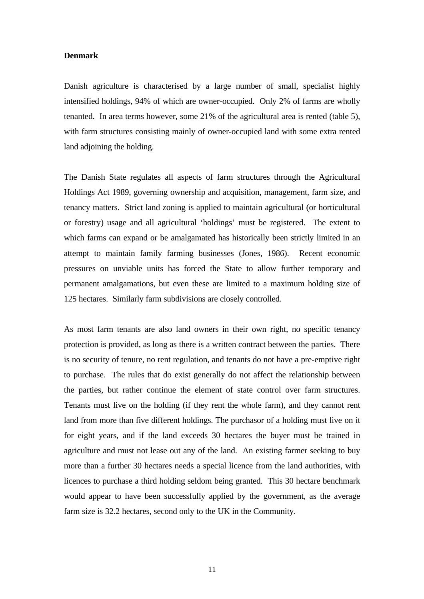#### **Denmark**

Danish agriculture is characterised by a large number of small, specialist highly intensified holdings, 94% of which are owner-occupied. Only 2% of farms are wholly tenanted. In area terms however, some 21% of the agricultural area is rented (table 5), with farm structures consisting mainly of owner-occupied land with some extra rented land adjoining the holding.

The Danish State regulates all aspects of farm structures through the Agricultural Holdings Act 1989, governing ownership and acquisition, management, farm size, and tenancy matters. Strict land zoning is applied to maintain agricultural (or horticultural or forestry) usage and all agricultural 'holdings' must be registered. The extent to which farms can expand or be amalgamated has historically been strictly limited in an attempt to maintain family farming businesses (Jones, 1986). Recent economic pressures on unviable units has forced the State to allow further temporary and permanent amalgamations, but even these are limited to a maximum holding size of 125 hectares. Similarly farm subdivisions are closely controlled.

As most farm tenants are also land owners in their own right, no specific tenancy protection is provided, as long as there is a written contract between the parties. There is no security of tenure, no rent regulation, and tenants do not have a pre-emptive right to purchase. The rules that do exist generally do not affect the relationship between the parties, but rather continue the element of state control over farm structures. Tenants must live on the holding (if they rent the whole farm), and they cannot rent land from more than five different holdings. The purchasor of a holding must live on it for eight years, and if the land exceeds 30 hectares the buyer must be trained in agriculture and must not lease out any of the land. An existing farmer seeking to buy more than a further 30 hectares needs a special licence from the land authorities, with licences to purchase a third holding seldom being granted. This 30 hectare benchmark would appear to have been successfully applied by the government, as the average farm size is 32.2 hectares, second only to the UK in the Community.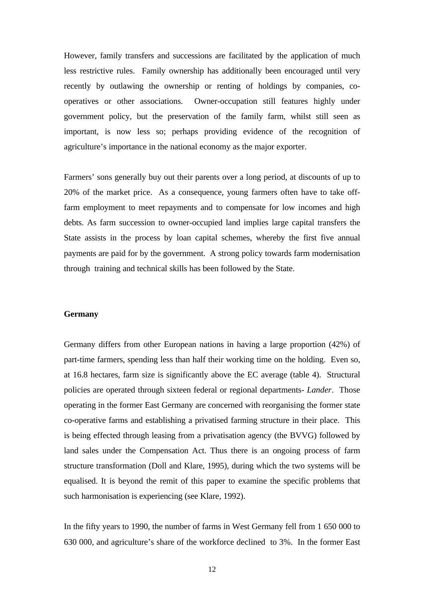However, family transfers and successions are facilitated by the application of much less restrictive rules. Family ownership has additionally been encouraged until very recently by outlawing the ownership or renting of holdings by companies, cooperatives or other associations. Owner-occupation still features highly under government policy, but the preservation of the family farm, whilst still seen as important, is now less so; perhaps providing evidence of the recognition of agriculture's importance in the national economy as the major exporter.

Farmers' sons generally buy out their parents over a long period, at discounts of up to 20% of the market price. As a consequence, young farmers often have to take offfarm employment to meet repayments and to compensate for low incomes and high debts. As farm succession to owner-occupied land implies large capital transfers the State assists in the process by loan capital schemes, whereby the first five annual payments are paid for by the government. A strong policy towards farm modernisation through training and technical skills has been followed by the State.

#### **Germany**

Germany differs from other European nations in having a large proportion (42%) of part-time farmers, spending less than half their working time on the holding. Even so, at 16.8 hectares, farm size is significantly above the EC average (table 4). Structural policies are operated through sixteen federal or regional departments- *Lander*. Those operating in the former East Germany are concerned with reorganising the former state co-operative farms and establishing a privatised farming structure in their place. This is being effected through leasing from a privatisation agency (the BVVG) followed by land sales under the Compensation Act. Thus there is an ongoing process of farm structure transformation (Doll and Klare, 1995), during which the two systems will be equalised. It is beyond the remit of this paper to examine the specific problems that such harmonisation is experiencing (see Klare, 1992).

In the fifty years to 1990, the number of farms in West Germany fell from 1 650 000 to 630 000, and agriculture's share of the workforce declined to 3%. In the former East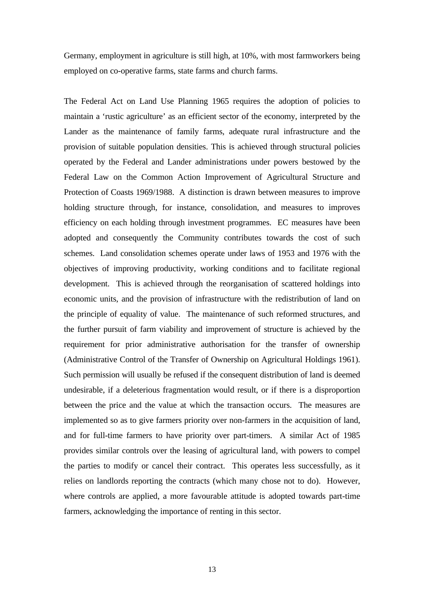Germany, employment in agriculture is still high, at 10%, with most farmworkers being employed on co-operative farms, state farms and church farms.

The Federal Act on Land Use Planning 1965 requires the adoption of policies to maintain a 'rustic agriculture' as an efficient sector of the economy, interpreted by the Lander as the maintenance of family farms, adequate rural infrastructure and the provision of suitable population densities. This is achieved through structural policies operated by the Federal and Lander administrations under powers bestowed by the Federal Law on the Common Action Improvement of Agricultural Structure and Protection of Coasts 1969/1988. A distinction is drawn between measures to improve holding structure through, for instance, consolidation, and measures to improves efficiency on each holding through investment programmes. EC measures have been adopted and consequently the Community contributes towards the cost of such schemes. Land consolidation schemes operate under laws of 1953 and 1976 with the objectives of improving productivity, working conditions and to facilitate regional development. This is achieved through the reorganisation of scattered holdings into economic units, and the provision of infrastructure with the redistribution of land on the principle of equality of value. The maintenance of such reformed structures, and the further pursuit of farm viability and improvement of structure is achieved by the requirement for prior administrative authorisation for the transfer of ownership (Administrative Control of the Transfer of Ownership on Agricultural Holdings 1961). Such permission will usually be refused if the consequent distribution of land is deemed undesirable, if a deleterious fragmentation would result, or if there is a disproportion between the price and the value at which the transaction occurs. The measures are implemented so as to give farmers priority over non-farmers in the acquisition of land, and for full-time farmers to have priority over part-timers. A similar Act of 1985 provides similar controls over the leasing of agricultural land, with powers to compel the parties to modify or cancel their contract. This operates less successfully, as it relies on landlords reporting the contracts (which many chose not to do). However, where controls are applied, a more favourable attitude is adopted towards part-time farmers, acknowledging the importance of renting in this sector.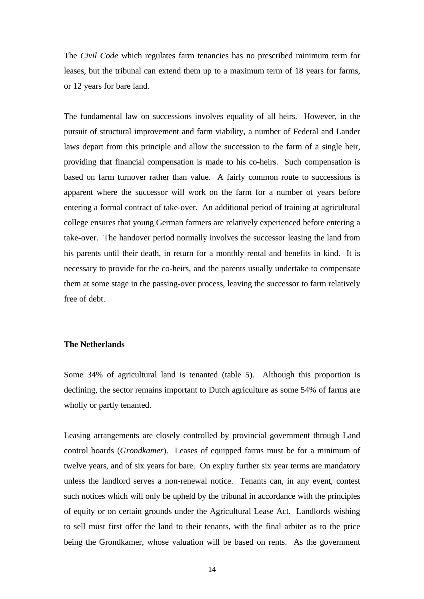The *Civil Code* which regulates farm tenancies has no prescribed minimum term for leases, but the tribunal can extend them up to a maximum term of 18 years for farms, or 12 years for bare land.

The fundamental law on successions involves equality of all heirs. However, in the pursuit of structural improvement and farm viability, a number of Federal and Lander laws depart from this principle and allow the succession to the farm of a single heir, providing that financial compensation is made to his co-heirs. Such compensation is based on farm turnover rather than value. A fairly common route to successions is apparent where the successor will work on the farm for a number of years before entering a formal contract of take-over. An additional period of training at agricultural college ensures that young German farmers are relatively experienced before entering a take-over. The handover period normally involves the successor leasing the land from his parents until their death, in return for a monthly rental and benefits in kind. It is necessary to provide for the co-heirs, and the parents usually undertake to compensate them at some stage in the passing-over process, leaving the successor to farm relatively free of debt.

#### **The Netherlands**

Some 34% of agricultural land is tenanted (table 5). Although this proportion is declining, the sector remains important to Dutch agriculture as some 54% of farms are wholly or partly tenanted.

Leasing arrangements are closely controlled by provincial government through Land control boards (*Grondkamer*). Leases of equipped farms must be for a minimum of twelve years, and of six years for bare. On expiry further six year terms are mandatory unless the landlord serves a non-renewal notice. Tenants can, in any event, contest such notices which will only be upheld by the tribunal in accordance with the principles of equity or on certain grounds under the Agricultural Lease Act. Landlords wishing to sell must first offer the land to their tenants, with the final arbiter as to the price being the Grondkamer, whose valuation will be based on rents. As the government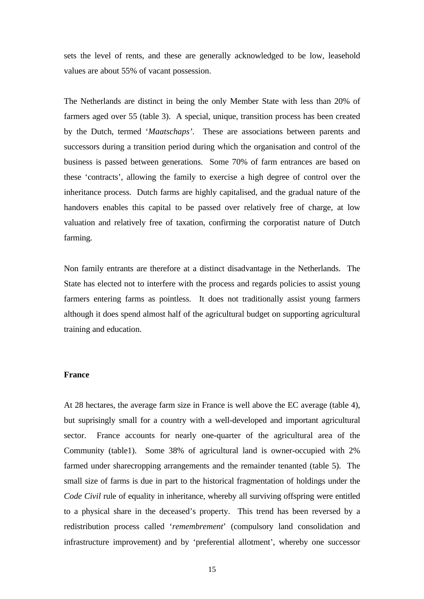sets the level of rents, and these are generally acknowledged to be low, leasehold values are about 55% of vacant possession.

The Netherlands are distinct in being the only Member State with less than 20% of farmers aged over 55 (table 3). A special, unique, transition process has been created by the Dutch, termed '*Maatschaps'*. These are associations between parents and successors during a transition period during which the organisation and control of the business is passed between generations. Some 70% of farm entrances are based on these 'contracts', allowing the family to exercise a high degree of control over the inheritance process. Dutch farms are highly capitalised, and the gradual nature of the handovers enables this capital to be passed over relatively free of charge, at low valuation and relatively free of taxation, confirming the corporatist nature of Dutch farming.

Non family entrants are therefore at a distinct disadvantage in the Netherlands. The State has elected not to interfere with the process and regards policies to assist young farmers entering farms as pointless. It does not traditionally assist young farmers although it does spend almost half of the agricultural budget on supporting agricultural training and education.

#### **France**

At 28 hectares, the average farm size in France is well above the EC average (table 4), but suprisingly small for a country with a well-developed and important agricultural sector. France accounts for nearly one-quarter of the agricultural area of the Community (table1). Some 38% of agricultural land is owner-occupied with 2% farmed under sharecropping arrangements and the remainder tenanted (table 5). The small size of farms is due in part to the historical fragmentation of holdings under the *Code Civil* rule of equality in inheritance, whereby all surviving offspring were entitled to a physical share in the deceased's property. This trend has been reversed by a redistribution process called '*remembrement*' (compulsory land consolidation and infrastructure improvement) and by 'preferential allotment', whereby one successor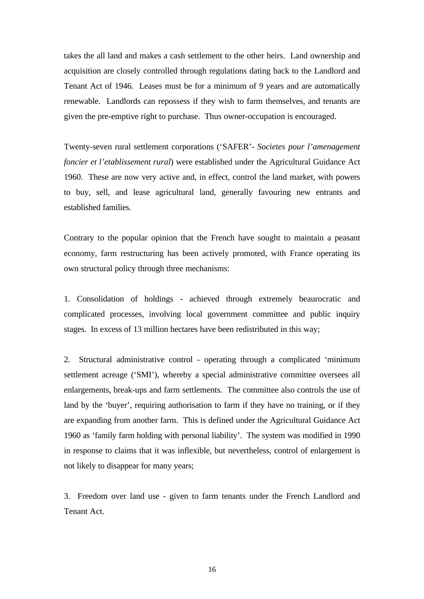takes the all land and makes a cash settlement to the other heirs. Land ownership and acquisition are closely controlled through regulations dating back to the Landlord and Tenant Act of 1946. Leases must be for a minimum of 9 years and are automatically renewable. Landlords can repossess if they wish to farm themselves, and tenants are given the pre-emptive right to purchase. Thus owner-occupation is encouraged.

Twenty-seven rural settlement corporations ('SAFER'- *Societes pour l'amenagement foncier et l'etablissement rural*) were established under the Agricultural Guidance Act 1960. These are now very active and, in effect, control the land market, with powers to buy, sell, and lease agricultural land, generally favouring new entrants and established families.

Contrary to the popular opinion that the French have sought to maintain a peasant economy, farm restructuring has been actively promoted, with France operating its own structural policy through three mechanisms:

1. Consolidation of holdings - achieved through extremely beaurocratic and complicated processes, involving local government committee and public inquiry stages. In excess of 13 million hectares have been redistributed in this way;

2. Structural administrative control - operating through a complicated 'minimum settlement acreage ('SMI'), whereby a special administrative committee oversees all enlargements, break-ups and farm settlements. The committee also controls the use of land by the 'buyer', requiring authorisation to farm if they have no training, or if they are expanding from another farm. This is defined under the Agricultural Guidance Act 1960 as 'family farm holding with personal liability'. The system was modified in 1990 in response to claims that it was inflexible, but nevertheless, control of enlargement is not likely to disappear for many years;

3. Freedom over land use - given to farm tenants under the French Landlord and Tenant Act.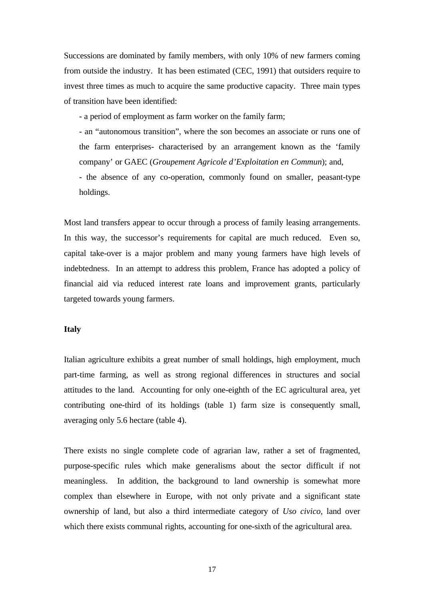Successions are dominated by family members, with only 10% of new farmers coming from outside the industry. It has been estimated (CEC, 1991) that outsiders require to invest three times as much to acquire the same productive capacity. Three main types of transition have been identified:

- a period of employment as farm worker on the family farm;

- an "autonomous transition", where the son becomes an associate or runs one of the farm enterprises- characterised by an arrangement known as the 'family company' or GAEC (*Groupement Agricole d'Exploitation en Commun*); and,

- the absence of any co-operation, commonly found on smaller, peasant-type holdings.

Most land transfers appear to occur through a process of family leasing arrangements. In this way, the successor's requirements for capital are much reduced. Even so, capital take-over is a major problem and many young farmers have high levels of indebtedness. In an attempt to address this problem, France has adopted a policy of financial aid via reduced interest rate loans and improvement grants, particularly targeted towards young farmers.

#### **Italy**

Italian agriculture exhibits a great number of small holdings, high employment, much part-time farming, as well as strong regional differences in structures and social attitudes to the land. Accounting for only one-eighth of the EC agricultural area, yet contributing one-third of its holdings (table 1) farm size is consequently small, averaging only 5.6 hectare (table 4).

There exists no single complete code of agrarian law, rather a set of fragmented, purpose-specific rules which make generalisms about the sector difficult if not meaningless. In addition, the background to land ownership is somewhat more complex than elsewhere in Europe, with not only private and a significant state ownership of land, but also a third intermediate category of *Uso civico*, land over which there exists communal rights, accounting for one-sixth of the agricultural area.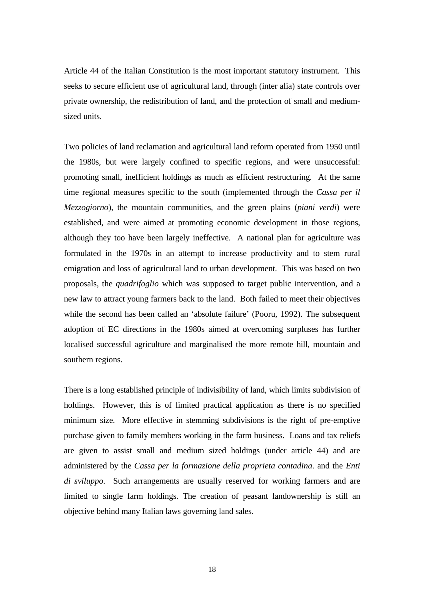Article 44 of the Italian Constitution is the most important statutory instrument. This seeks to secure efficient use of agricultural land, through (inter alia) state controls over private ownership, the redistribution of land, and the protection of small and mediumsized units.

Two policies of land reclamation and agricultural land reform operated from 1950 until the 1980s, but were largely confined to specific regions, and were unsuccessful: promoting small, inefficient holdings as much as efficient restructuring. At the same time regional measures specific to the south (implemented through the *Cassa per il Mezzogiorno*), the mountain communities, and the green plains (*piani verdi*) were established, and were aimed at promoting economic development in those regions, although they too have been largely ineffective. A national plan for agriculture was formulated in the 1970s in an attempt to increase productivity and to stem rural emigration and loss of agricultural land to urban development. This was based on two proposals, the *quadrifoglio* which was supposed to target public intervention, and a new law to attract young farmers back to the land. Both failed to meet their objectives while the second has been called an 'absolute failure' (Pooru, 1992). The subsequent adoption of EC directions in the 1980s aimed at overcoming surpluses has further localised successful agriculture and marginalised the more remote hill, mountain and southern regions.

There is a long established principle of indivisibility of land, which limits subdivision of holdings. However, this is of limited practical application as there is no specified minimum size. More effective in stemming subdivisions is the right of pre-emptive purchase given to family members working in the farm business. Loans and tax reliefs are given to assist small and medium sized holdings (under article 44) and are administered by the *Cassa per la formazione della proprieta contadina*. and the *Enti di sviluppo*. Such arrangements are usually reserved for working farmers and are limited to single farm holdings. The creation of peasant landownership is still an objective behind many Italian laws governing land sales.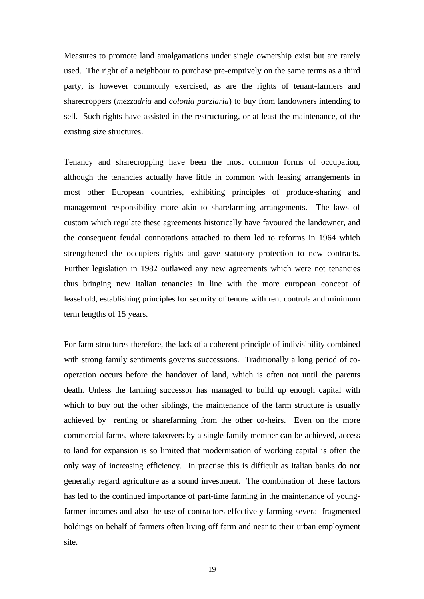Measures to promote land amalgamations under single ownership exist but are rarely used. The right of a neighbour to purchase pre-emptively on the same terms as a third party, is however commonly exercised, as are the rights of tenant-farmers and sharecroppers (*mezzadria* and *colonia parziaria*) to buy from landowners intending to sell. Such rights have assisted in the restructuring, or at least the maintenance, of the existing size structures.

Tenancy and sharecropping have been the most common forms of occupation, although the tenancies actually have little in common with leasing arrangements in most other European countries, exhibiting principles of produce-sharing and management responsibility more akin to sharefarming arrangements. The laws of custom which regulate these agreements historically have favoured the landowner, and the consequent feudal connotations attached to them led to reforms in 1964 which strengthened the occupiers rights and gave statutory protection to new contracts. Further legislation in 1982 outlawed any new agreements which were not tenancies thus bringing new Italian tenancies in line with the more european concept of leasehold, establishing principles for security of tenure with rent controls and minimum term lengths of 15 years.

For farm structures therefore, the lack of a coherent principle of indivisibility combined with strong family sentiments governs successions. Traditionally a long period of cooperation occurs before the handover of land, which is often not until the parents death. Unless the farming successor has managed to build up enough capital with which to buy out the other siblings, the maintenance of the farm structure is usually achieved by renting or sharefarming from the other co-heirs. Even on the more commercial farms, where takeovers by a single family member can be achieved, access to land for expansion is so limited that modernisation of working capital is often the only way of increasing efficiency. In practise this is difficult as Italian banks do not generally regard agriculture as a sound investment. The combination of these factors has led to the continued importance of part-time farming in the maintenance of youngfarmer incomes and also the use of contractors effectively farming several fragmented holdings on behalf of farmers often living off farm and near to their urban employment site.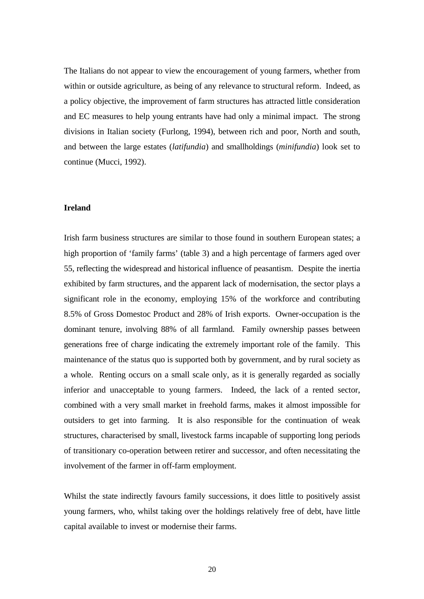The Italians do not appear to view the encouragement of young farmers, whether from within or outside agriculture, as being of any relevance to structural reform. Indeed, as a policy objective, the improvement of farm structures has attracted little consideration and EC measures to help young entrants have had only a minimal impact. The strong divisions in Italian society (Furlong, 1994), between rich and poor, North and south, and between the large estates (*latifundia*) and smallholdings (*minifundia*) look set to continue (Mucci, 1992).

#### **Ireland**

Irish farm business structures are similar to those found in southern European states; a high proportion of 'family farms' (table 3) and a high percentage of farmers aged over 55, reflecting the widespread and historical influence of peasantism. Despite the inertia exhibited by farm structures, and the apparent lack of modernisation, the sector plays a significant role in the economy, employing 15% of the workforce and contributing 8.5% of Gross Domestoc Product and 28% of Irish exports. Owner-occupation is the dominant tenure, involving 88% of all farmland. Family ownership passes between generations free of charge indicating the extremely important role of the family. This maintenance of the status quo is supported both by government, and by rural society as a whole. Renting occurs on a small scale only, as it is generally regarded as socially inferior and unacceptable to young farmers. Indeed, the lack of a rented sector, combined with a very small market in freehold farms, makes it almost impossible for outsiders to get into farming. It is also responsible for the continuation of weak structures, characterised by small, livestock farms incapable of supporting long periods of transitionary co-operation between retirer and successor, and often necessitating the involvement of the farmer in off-farm employment.

Whilst the state indirectly favours family successions, it does little to positively assist young farmers, who, whilst taking over the holdings relatively free of debt, have little capital available to invest or modernise their farms.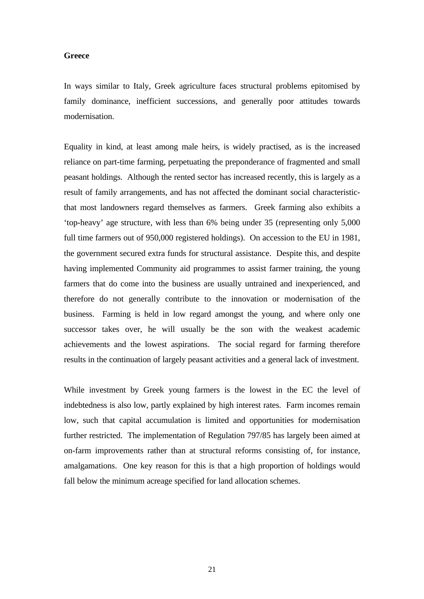#### **Greece**

In ways similar to Italy, Greek agriculture faces structural problems epitomised by family dominance, inefficient successions, and generally poor attitudes towards modernisation.

Equality in kind, at least among male heirs, is widely practised, as is the increased reliance on part-time farming, perpetuating the preponderance of fragmented and small peasant holdings. Although the rented sector has increased recently, this is largely as a result of family arrangements, and has not affected the dominant social characteristicthat most landowners regard themselves as farmers. Greek farming also exhibits a 'top-heavy' age structure, with less than 6% being under 35 (representing only 5,000 full time farmers out of 950,000 registered holdings). On accession to the EU in 1981, the government secured extra funds for structural assistance. Despite this, and despite having implemented Community aid programmes to assist farmer training, the young farmers that do come into the business are usually untrained and inexperienced, and therefore do not generally contribute to the innovation or modernisation of the business. Farming is held in low regard amongst the young, and where only one successor takes over, he will usually be the son with the weakest academic achievements and the lowest aspirations. The social regard for farming therefore results in the continuation of largely peasant activities and a general lack of investment.

While investment by Greek young farmers is the lowest in the EC the level of indebtedness is also low, partly explained by high interest rates. Farm incomes remain low, such that capital accumulation is limited and opportunities for modernisation further restricted. The implementation of Regulation 797/85 has largely been aimed at on-farm improvements rather than at structural reforms consisting of, for instance, amalgamations. One key reason for this is that a high proportion of holdings would fall below the minimum acreage specified for land allocation schemes.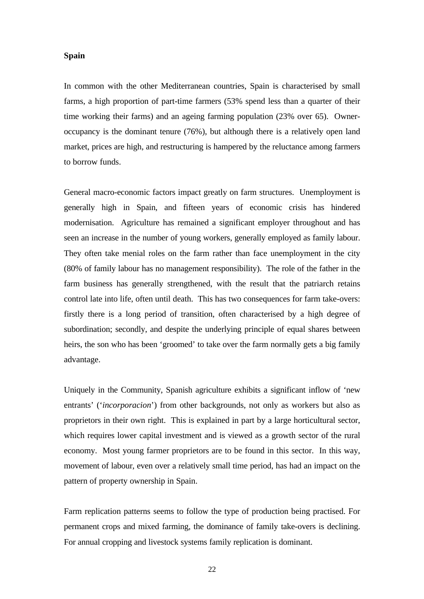## **Spain**

In common with the other Mediterranean countries, Spain is characterised by small farms, a high proportion of part-time farmers (53% spend less than a quarter of their time working their farms) and an ageing farming population (23% over 65). Owneroccupancy is the dominant tenure (76%), but although there is a relatively open land market, prices are high, and restructuring is hampered by the reluctance among farmers to borrow funds.

General macro-economic factors impact greatly on farm structures. Unemployment is generally high in Spain, and fifteen years of economic crisis has hindered modernisation. Agriculture has remained a significant employer throughout and has seen an increase in the number of young workers, generally employed as family labour. They often take menial roles on the farm rather than face unemployment in the city (80% of family labour has no management responsibility). The role of the father in the farm business has generally strengthened, with the result that the patriarch retains control late into life, often until death. This has two consequences for farm take-overs: firstly there is a long period of transition, often characterised by a high degree of subordination; secondly, and despite the underlying principle of equal shares between heirs, the son who has been 'groomed' to take over the farm normally gets a big family advantage.

Uniquely in the Community, Spanish agriculture exhibits a significant inflow of 'new entrants' ('*incorporacion*') from other backgrounds, not only as workers but also as proprietors in their own right. This is explained in part by a large horticultural sector, which requires lower capital investment and is viewed as a growth sector of the rural economy. Most young farmer proprietors are to be found in this sector. In this way, movement of labour, even over a relatively small time period, has had an impact on the pattern of property ownership in Spain.

Farm replication patterns seems to follow the type of production being practised. For permanent crops and mixed farming, the dominance of family take-overs is declining. For annual cropping and livestock systems family replication is dominant.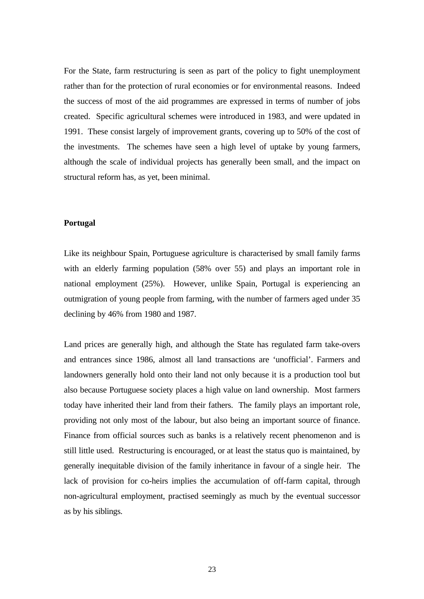For the State, farm restructuring is seen as part of the policy to fight unemployment rather than for the protection of rural economies or for environmental reasons. Indeed the success of most of the aid programmes are expressed in terms of number of jobs created. Specific agricultural schemes were introduced in 1983, and were updated in 1991. These consist largely of improvement grants, covering up to 50% of the cost of the investments. The schemes have seen a high level of uptake by young farmers, although the scale of individual projects has generally been small, and the impact on structural reform has, as yet, been minimal.

#### **Portugal**

Like its neighbour Spain, Portuguese agriculture is characterised by small family farms with an elderly farming population (58% over 55) and plays an important role in national employment (25%). However, unlike Spain, Portugal is experiencing an outmigration of young people from farming, with the number of farmers aged under 35 declining by 46% from 1980 and 1987.

Land prices are generally high, and although the State has regulated farm take-overs and entrances since 1986, almost all land transactions are 'unofficial'. Farmers and landowners generally hold onto their land not only because it is a production tool but also because Portuguese society places a high value on land ownership. Most farmers today have inherited their land from their fathers. The family plays an important role, providing not only most of the labour, but also being an important source of finance. Finance from official sources such as banks is a relatively recent phenomenon and is still little used. Restructuring is encouraged, or at least the status quo is maintained, by generally inequitable division of the family inheritance in favour of a single heir. The lack of provision for co-heirs implies the accumulation of off-farm capital, through non-agricultural employment, practised seemingly as much by the eventual successor as by his siblings.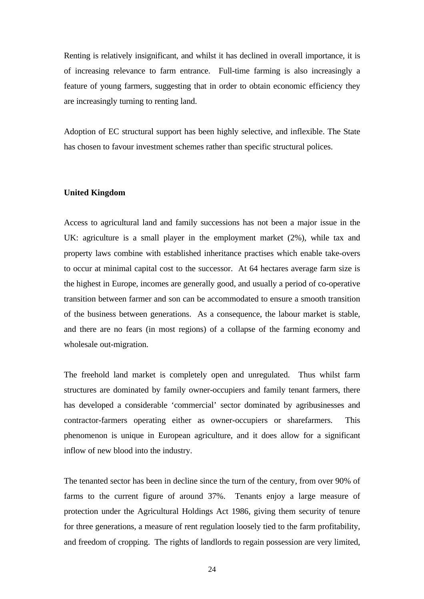Renting is relatively insignificant, and whilst it has declined in overall importance, it is of increasing relevance to farm entrance. Full-time farming is also increasingly a feature of young farmers, suggesting that in order to obtain economic efficiency they are increasingly turning to renting land.

Adoption of EC structural support has been highly selective, and inflexible. The State has chosen to favour investment schemes rather than specific structural polices.

#### **United Kingdom**

Access to agricultural land and family successions has not been a major issue in the UK: agriculture is a small player in the employment market (2%), while tax and property laws combine with established inheritance practises which enable take-overs to occur at minimal capital cost to the successor. At 64 hectares average farm size is the highest in Europe, incomes are generally good, and usually a period of co-operative transition between farmer and son can be accommodated to ensure a smooth transition of the business between generations. As a consequence, the labour market is stable, and there are no fears (in most regions) of a collapse of the farming economy and wholesale out-migration.

The freehold land market is completely open and unregulated. Thus whilst farm structures are dominated by family owner-occupiers and family tenant farmers, there has developed a considerable 'commercial' sector dominated by agribusinesses and contractor-farmers operating either as owner-occupiers or sharefarmers. This phenomenon is unique in European agriculture, and it does allow for a significant inflow of new blood into the industry.

The tenanted sector has been in decline since the turn of the century, from over 90% of farms to the current figure of around 37%. Tenants enjoy a large measure of protection under the Agricultural Holdings Act 1986, giving them security of tenure for three generations, a measure of rent regulation loosely tied to the farm profitability, and freedom of cropping. The rights of landlords to regain possession are very limited,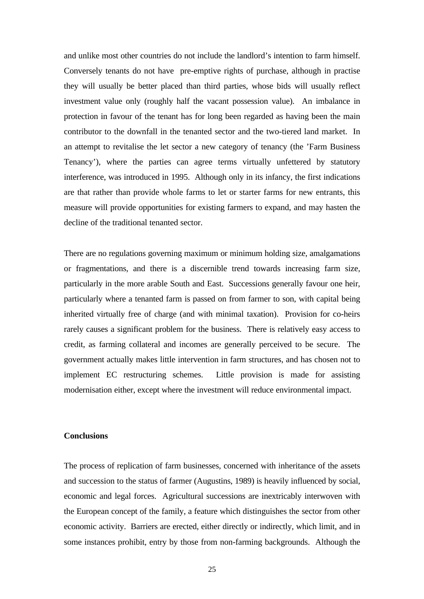and unlike most other countries do not include the landlord's intention to farm himself. Conversely tenants do not have pre-emptive rights of purchase, although in practise they will usually be better placed than third parties, whose bids will usually reflect investment value only (roughly half the vacant possession value). An imbalance in protection in favour of the tenant has for long been regarded as having been the main contributor to the downfall in the tenanted sector and the two-tiered land market. In an attempt to revitalise the let sector a new category of tenancy (the 'Farm Business Tenancy'), where the parties can agree terms virtually unfettered by statutory interference, was introduced in 1995. Although only in its infancy, the first indications are that rather than provide whole farms to let or starter farms for new entrants, this measure will provide opportunities for existing farmers to expand, and may hasten the decline of the traditional tenanted sector.

There are no regulations governing maximum or minimum holding size, amalgamations or fragmentations, and there is a discernible trend towards increasing farm size, particularly in the more arable South and East. Successions generally favour one heir, particularly where a tenanted farm is passed on from farmer to son, with capital being inherited virtually free of charge (and with minimal taxation). Provision for co-heirs rarely causes a significant problem for the business. There is relatively easy access to credit, as farming collateral and incomes are generally perceived to be secure. The government actually makes little intervention in farm structures, and has chosen not to implement EC restructuring schemes. Little provision is made for assisting modernisation either, except where the investment will reduce environmental impact.

## **Conclusions**

The process of replication of farm businesses, concerned with inheritance of the assets and succession to the status of farmer (Augustins, 1989) is heavily influenced by social, economic and legal forces. Agricultural successions are inextricably interwoven with the European concept of the family, a feature which distinguishes the sector from other economic activity. Barriers are erected, either directly or indirectly, which limit, and in some instances prohibit, entry by those from non-farming backgrounds. Although the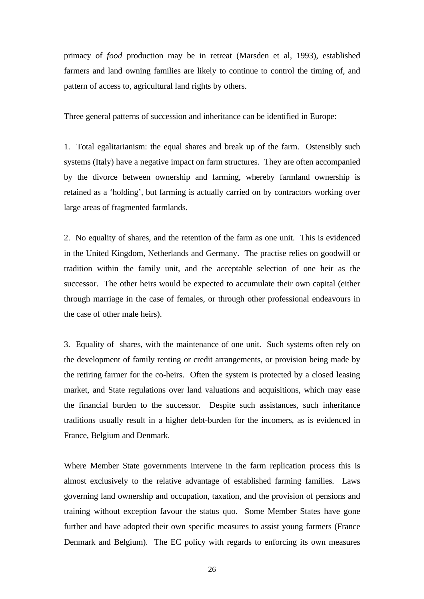primacy of *food* production may be in retreat (Marsden et al, 1993), established farmers and land owning families are likely to continue to control the timing of, and pattern of access to, agricultural land rights by others.

Three general patterns of succession and inheritance can be identified in Europe:

1. Total egalitarianism: the equal shares and break up of the farm. Ostensibly such systems (Italy) have a negative impact on farm structures. They are often accompanied by the divorce between ownership and farming, whereby farmland ownership is retained as a 'holding', but farming is actually carried on by contractors working over large areas of fragmented farmlands.

2. No equality of shares, and the retention of the farm as one unit. This is evidenced in the United Kingdom, Netherlands and Germany. The practise relies on goodwill or tradition within the family unit, and the acceptable selection of one heir as the successor. The other heirs would be expected to accumulate their own capital (either through marriage in the case of females, or through other professional endeavours in the case of other male heirs).

3. Equality of shares, with the maintenance of one unit. Such systems often rely on the development of family renting or credit arrangements, or provision being made by the retiring farmer for the co-heirs. Often the system is protected by a closed leasing market, and State regulations over land valuations and acquisitions, which may ease the financial burden to the successor. Despite such assistances, such inheritance traditions usually result in a higher debt-burden for the incomers, as is evidenced in France, Belgium and Denmark.

Where Member State governments intervene in the farm replication process this is almost exclusively to the relative advantage of established farming families. Laws governing land ownership and occupation, taxation, and the provision of pensions and training without exception favour the status quo. Some Member States have gone further and have adopted their own specific measures to assist young farmers (France Denmark and Belgium). The EC policy with regards to enforcing its own measures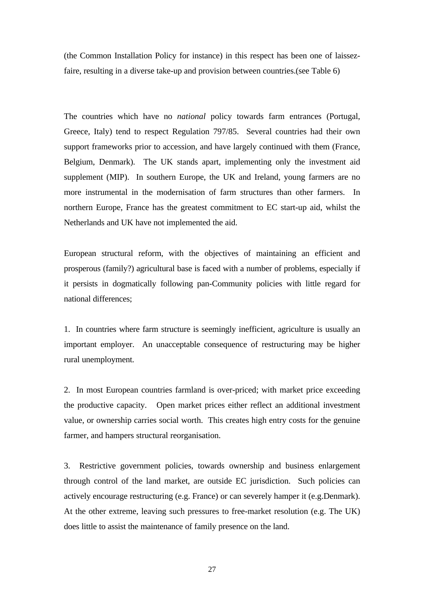(the Common Installation Policy for instance) in this respect has been one of laissezfaire, resulting in a diverse take-up and provision between countries.(see Table 6)

The countries which have no *national* policy towards farm entrances (Portugal, Greece, Italy) tend to respect Regulation 797/85. Several countries had their own support frameworks prior to accession, and have largely continued with them (France, Belgium, Denmark). The UK stands apart, implementing only the investment aid supplement (MIP). In southern Europe, the UK and Ireland, young farmers are no more instrumental in the modernisation of farm structures than other farmers. In northern Europe, France has the greatest commitment to EC start-up aid, whilst the Netherlands and UK have not implemented the aid.

European structural reform, with the objectives of maintaining an efficient and prosperous (family?) agricultural base is faced with a number of problems, especially if it persists in dogmatically following pan-Community policies with little regard for national differences;

1. In countries where farm structure is seemingly inefficient, agriculture is usually an important employer. An unacceptable consequence of restructuring may be higher rural unemployment.

2. In most European countries farmland is over-priced; with market price exceeding the productive capacity. Open market prices either reflect an additional investment value, or ownership carries social worth. This creates high entry costs for the genuine farmer, and hampers structural reorganisation.

3. Restrictive government policies, towards ownership and business enlargement through control of the land market, are outside EC jurisdiction. Such policies can actively encourage restructuring (e.g. France) or can severely hamper it (e.g.Denmark). At the other extreme, leaving such pressures to free-market resolution (e.g. The UK) does little to assist the maintenance of family presence on the land.

27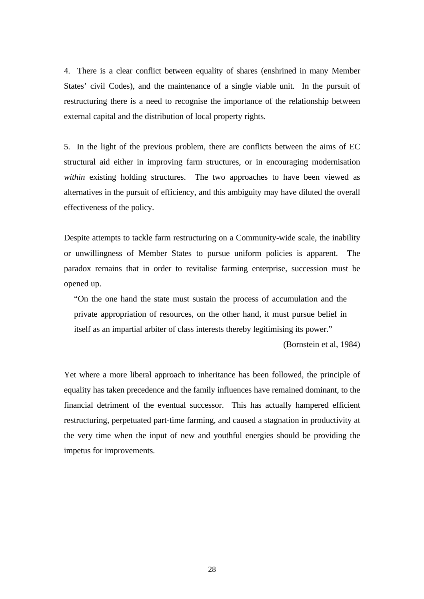4. There is a clear conflict between equality of shares (enshrined in many Member States' civil Codes), and the maintenance of a single viable unit. In the pursuit of restructuring there is a need to recognise the importance of the relationship between external capital and the distribution of local property rights.

5. In the light of the previous problem, there are conflicts between the aims of EC structural aid either in improving farm structures, or in encouraging modernisation *within* existing holding structures. The two approaches to have been viewed as alternatives in the pursuit of efficiency, and this ambiguity may have diluted the overall effectiveness of the policy.

Despite attempts to tackle farm restructuring on a Community-wide scale, the inability or unwillingness of Member States to pursue uniform policies is apparent. The paradox remains that in order to revitalise farming enterprise, succession must be opened up.

"On the one hand the state must sustain the process of accumulation and the private appropriation of resources, on the other hand, it must pursue belief in itself as an impartial arbiter of class interests thereby legitimising its power."

(Bornstein et al, 1984)

Yet where a more liberal approach to inheritance has been followed, the principle of equality has taken precedence and the family influences have remained dominant, to the financial detriment of the eventual successor. This has actually hampered efficient restructuring, perpetuated part-time farming, and caused a stagnation in productivity at the very time when the input of new and youthful energies should be providing the impetus for improvements.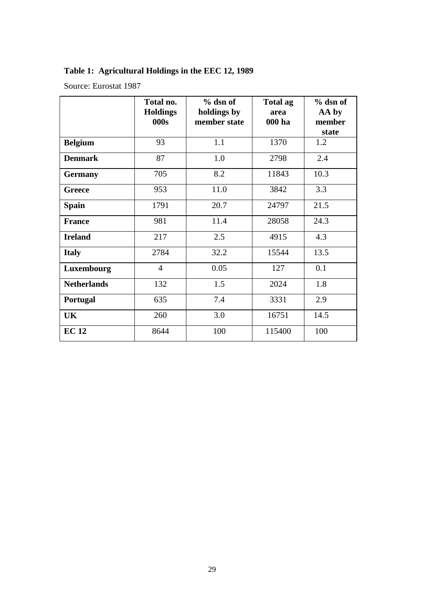# **Table 1: Agricultural Holdings in the EEC 12, 1989**

Source: Eurostat 1987

|                    | Total no.<br><b>Holdings</b><br>000s | $%$ dsn of<br>holdings by<br>member state | <b>Total ag</b><br>area<br>000 ha | $%$ dsn of<br>AA by<br>member |
|--------------------|--------------------------------------|-------------------------------------------|-----------------------------------|-------------------------------|
|                    | 93                                   |                                           |                                   | state<br>1.2                  |
| <b>Belgium</b>     |                                      | 1.1                                       | 1370                              |                               |
| <b>Denmark</b>     | 87                                   | 1.0                                       | 2798                              | 2.4                           |
| <b>Germany</b>     | 705                                  | 8.2                                       | 11843                             | 10.3                          |
| <b>Greece</b>      | 953                                  | 11.0                                      | 3842                              | 3.3                           |
| <b>Spain</b>       | 1791                                 | 20.7                                      | 24797                             | 21.5                          |
| <b>France</b>      | 981                                  | 11.4                                      | 28058                             | 24.3                          |
| <b>Ireland</b>     | 217                                  | 2.5                                       | 4915                              | 4.3                           |
| <b>Italy</b>       | 2784                                 | 32.2                                      | 15544                             | 13.5                          |
| Luxembourg         | $\overline{4}$                       | 0.05                                      | 127                               | 0.1                           |
| <b>Netherlands</b> | 132                                  | 1.5                                       | 2024                              | 1.8                           |
| Portugal           | 635                                  | 7.4                                       | 3331                              | 2.9                           |
| UK                 | 260                                  | 3.0                                       | 16751                             | 14.5                          |
| <b>EC 12</b>       | 8644                                 | 100                                       | 115400                            | 100                           |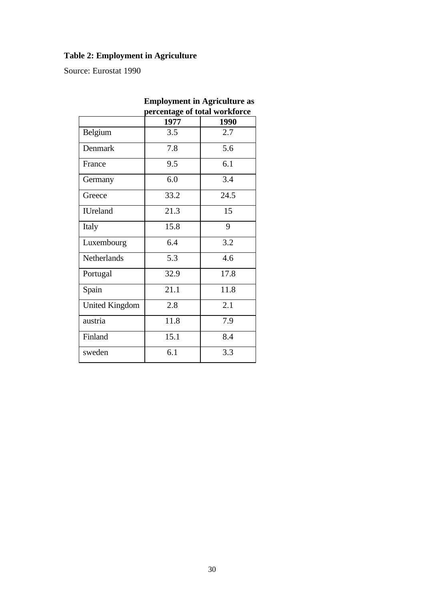# **Table 2: Employment in Agriculture**

Source: Eurostat 1990

|                       | percentage of total workforce |      |  |
|-----------------------|-------------------------------|------|--|
|                       | 1977                          | 1990 |  |
| Belgium               | 3.5                           | 2.7  |  |
| Denmark               | 7.8                           | 5.6  |  |
| France                | 9.5                           | 6.1  |  |
| Germany               | 6.0                           | 3.4  |  |
| Greece                | 33.2                          | 24.5 |  |
| <b>IUreland</b>       | 21.3                          | 15   |  |
| Italy                 | 15.8                          | 9    |  |
| Luxembourg            | 6.4                           | 3.2  |  |
| <b>Netherlands</b>    | 5.3                           | 4.6  |  |
| Portugal              | 32.9                          | 17.8 |  |
| Spain                 | 21.1                          | 11.8 |  |
| <b>United Kingdom</b> | 2.8                           | 2.1  |  |
| austria               | 11.8                          | 7.9  |  |
| Finland               | 15.1                          | 8.4  |  |
| sweden                | 6.1                           | 3.3  |  |
|                       |                               |      |  |

# **Employment in Agriculture as**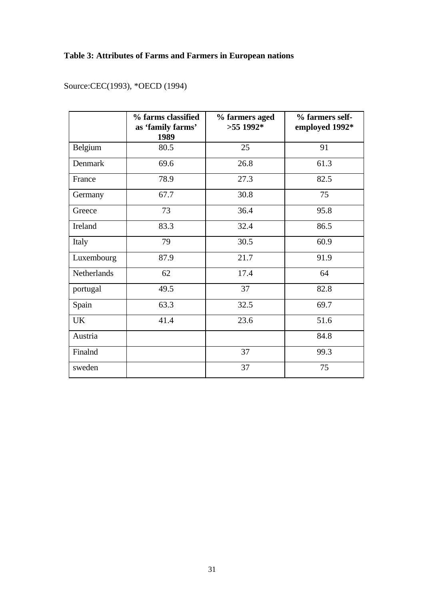## **Table 3: Attributes of Farms and Farmers in European nations**

|             | % farms classified<br>as 'family farms'<br>1989 | % farmers aged<br>$>55$ 1992* | % farmers self-<br>employed 1992* |
|-------------|-------------------------------------------------|-------------------------------|-----------------------------------|
| Belgium     | 80.5                                            | 25                            | 91                                |
| Denmark     | 69.6                                            | 26.8                          | 61.3                              |
| France      | 78.9                                            | 27.3                          | 82.5                              |
| Germany     | 67.7                                            | 30.8                          | 75                                |
| Greece      | 73                                              | 36.4                          | 95.8                              |
| Ireland     | 83.3                                            | 32.4                          | 86.5                              |
| Italy       | 79                                              | 30.5                          | 60.9                              |
| Luxembourg  | 87.9                                            | 21.7                          | 91.9                              |
| Netherlands | 62                                              | 17.4                          | 64                                |
| portugal    | 49.5                                            | 37                            | 82.8                              |
| Spain       | 63.3                                            | 32.5                          | 69.7                              |
| <b>UK</b>   | 41.4                                            | 23.6                          | 51.6                              |
| Austria     |                                                 |                               | 84.8                              |
| Finalnd     |                                                 | 37                            | 99.3                              |
| sweden      |                                                 | 37                            | 75                                |

Source:CEC(1993), \*OECD (1994)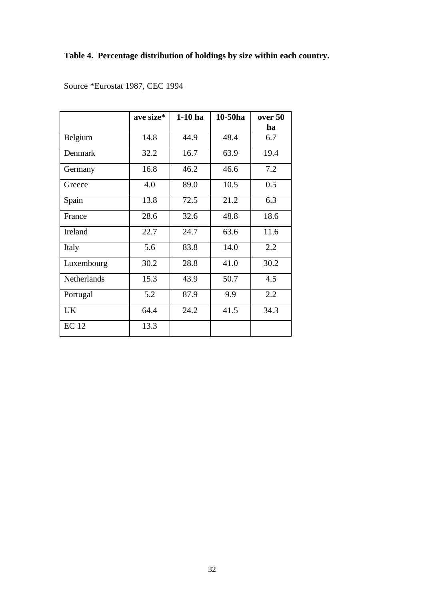## **Table 4. Percentage distribution of holdings by size within each country.**

|                    | ave size* | $1-10$ ha | 10-50ha | over 50 |
|--------------------|-----------|-----------|---------|---------|
|                    |           |           |         | ha      |
| Belgium            | 14.8      | 44.9      | 48.4    | 6.7     |
| Denmark            | 32.2      | 16.7      | 63.9    | 19.4    |
| Germany            | 16.8      | 46.2      | 46.6    | 7.2     |
| Greece             | 4.0       | 89.0      | 10.5    | 0.5     |
| Spain              | 13.8      | 72.5      | 21.2    | 6.3     |
| France             | 28.6      | 32.6      | 48.8    | 18.6    |
| Ireland            | 22.7      | 24.7      | 63.6    | 11.6    |
| Italy              | 5.6       | 83.8      | 14.0    | 2.2     |
| Luxembourg         | 30.2      | 28.8      | 41.0    | 30.2    |
| <b>Netherlands</b> | 15.3      | 43.9      | 50.7    | 4.5     |
| Portugal           | 5.2       | 87.9      | 9.9     | 2.2     |
| <b>UK</b>          | 64.4      | 24.2      | 41.5    | 34.3    |
| <b>EC</b> 12       | 13.3      |           |         |         |

Source \*Eurostat 1987, CEC 1994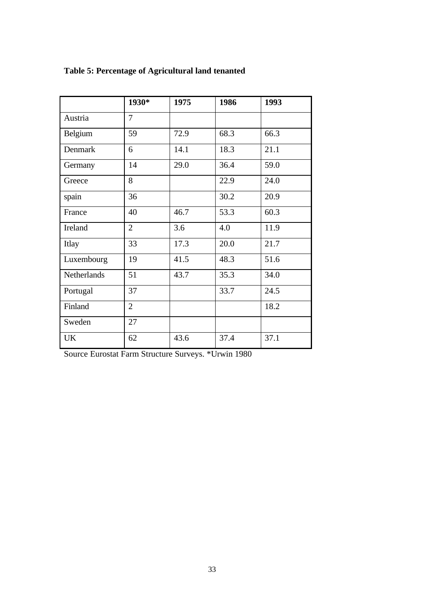|             | 1930*          | 1975 | 1986 | 1993 |
|-------------|----------------|------|------|------|
| Austria     | $\overline{7}$ |      |      |      |
| Belgium     | 59             | 72.9 | 68.3 | 66.3 |
| Denmark     | 6              | 14.1 | 18.3 | 21.1 |
| Germany     | 14             | 29.0 | 36.4 | 59.0 |
| Greece      | 8              |      | 22.9 | 24.0 |
| spain       | 36             |      | 30.2 | 20.9 |
| France      | 40             | 46.7 | 53.3 | 60.3 |
| Ireland     | $\overline{2}$ | 3.6  | 4.0  | 11.9 |
| Itlay       | 33             | 17.3 | 20.0 | 21.7 |
| Luxembourg  | 19             | 41.5 | 48.3 | 51.6 |
| Netherlands | 51             | 43.7 | 35.3 | 34.0 |
| Portugal    | 37             |      | 33.7 | 24.5 |
| Finland     | $\overline{2}$ |      |      | 18.2 |
| Sweden      | 27             |      |      |      |
| <b>UK</b>   | 62             | 43.6 | 37.4 | 37.1 |

# **Table 5: Percentage of Agricultural land tenanted**

Source Eurostat Farm Structure Surveys. \*Urwin 1980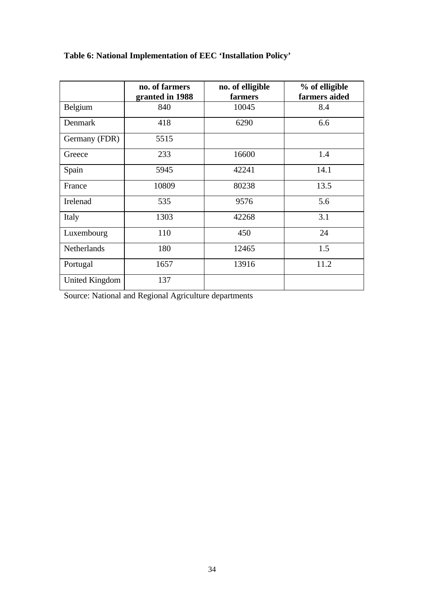|                    | no. of farmers<br>granted in 1988 | no. of elligible<br>farmers | % of elligible<br>farmers aided |
|--------------------|-----------------------------------|-----------------------------|---------------------------------|
| Belgium            | 840                               | 10045                       | 8.4                             |
| Denmark            | 418                               | 6290                        | 6.6                             |
| Germany (FDR)      | 5515                              |                             |                                 |
| Greece             | 233                               | 16600                       | 1.4                             |
| Spain              | 5945                              | 42241                       | 14.1                            |
| France             | 10809                             | 80238                       | 13.5                            |
| Irelenad           | 535                               | 9576                        | 5.6                             |
| Italy              | 1303                              | 42268                       | 3.1                             |
| Luxembourg         | 110                               | 450                         | 24                              |
| <b>Netherlands</b> | 180                               | 12465                       | 1.5                             |
| Portugal           | 1657                              | 13916                       | 11.2                            |
| United Kingdom     | 137                               |                             |                                 |

# **Table 6: National Implementation of EEC 'Installation Policy'**

Source: National and Regional Agriculture departments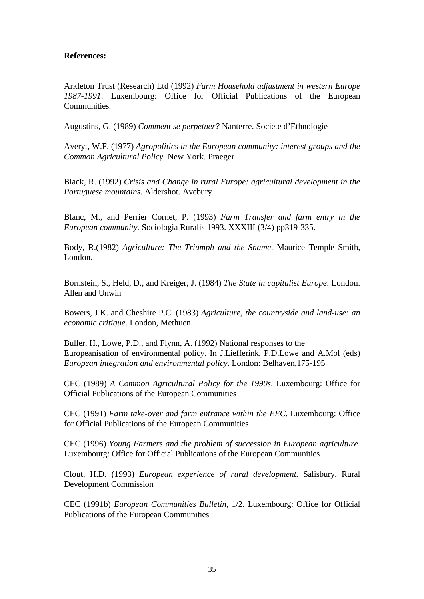## **References:**

Arkleton Trust (Research) Ltd (1992) *Farm Household adjustment in western Europe 1987-1991*. Luxembourg: Office for Official Publications of the European Communities.

Augustins, G. (1989) *Comment se perpetuer?* Nanterre. Societe d'Ethnologie

Averyt, W.F. (1977) *Agropolitics in the European community: interest groups and the Common Agricultural Policy.* New York. Praeger

Black, R. (1992) *Crisis and Change in rural Europe: agricultural development in the Portuguese mountains*. Aldershot. Avebury.

Blanc, M., and Perrier Cornet, P. (1993) *Farm Transfer and farm entry in the European community.* Sociologia Ruralis 1993. XXXIII (3/4) pp319-335.

Body, R.(1982) *Agriculture: The Triumph and the Shame*. Maurice Temple Smith, London.

Bornstein, S., Held, D., and Kreiger, J. (1984) *The State in capitalist Europe*. London. Allen and Unwin

Bowers, J.K. and Cheshire P.C. (1983) *Agriculture, the countryside and land-use: an economic critique*. London, Methuen

Buller, H., Lowe, P.D., and Flynn, A. (1992) National responses to the Europeanisation of environmental policy. In J.Liefferink, P.D.Lowe and A.Mol (eds) *European integration and environmental policy*. London: Belhaven,175-195

CEC (1989) *A Common Agricultural Policy for the 1990s*. Luxembourg: Office for Official Publications of the European Communities

CEC (1991) *Farm take-over and farm entrance within the EEC*. Luxembourg: Office for Official Publications of the European Communities

CEC (1996) *Young Farmers and the problem of succession in European agriculture*. Luxembourg: Office for Official Publications of the European Communities

Clout, H.D. (1993) *European experience of rural development.* Salisbury. Rural Development Commission

CEC (1991b) *European Communities Bulletin*, 1/2. Luxembourg: Office for Official Publications of the European Communities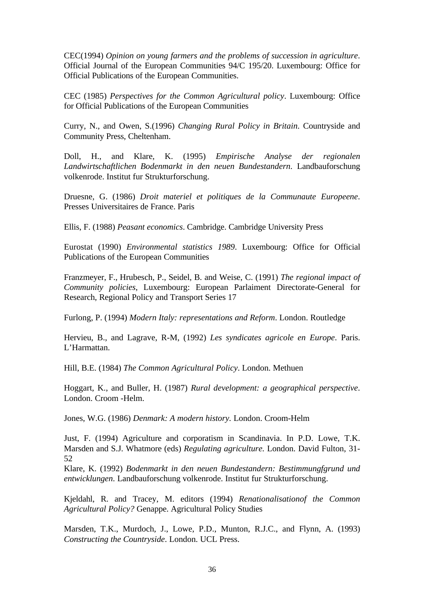CEC(1994) *Opinion on young farmers and the problems of succession in agriculture*. Official Journal of the European Communities 94/C 195/20. Luxembourg: Office for Official Publications of the European Communities.

CEC (1985) *Perspectives for the Common Agricultural policy*. Luxembourg: Office for Official Publications of the European Communities

Curry, N., and Owen, S.(1996) *Changing Rural Policy in Britain*. Countryside and Community Press, Cheltenham.

Doll, H., and Klare, K. (1995) *Empirische Analyse der regionalen Landwirtschaftlichen Bodenmarkt in den neuen Bundestandern*. Landbauforschung volkenrode. Institut fur Strukturforschung.

Druesne, G. (1986) *Droit materiel et politiques de la Communaute Europeene*. Presses Universitaires de France. Paris

Ellis, F. (1988) *Peasant economics*. Cambridge. Cambridge University Press

Eurostat (1990) *Environmental statistics 1989*. Luxembourg: Office for Official Publications of the European Communities

Franzmeyer, F., Hrubesch, P., Seidel, B. and Weise, C. (1991) *The regional impact of Community policies*, Luxembourg: European Parlaiment Directorate-General for Research, Regional Policy and Transport Series 17

Furlong, P. (1994) *Modern Italy: representations and Reform*. London. Routledge

Hervieu, B., and Lagrave, R-M, (1992) *Les syndicates agricole en Europe*. Paris. L'Harmattan.

Hill, B.E. (1984) *The Common Agricultural Policy*. London. Methuen

Hoggart, K., and Buller, H. (1987) *Rural development: a geographical perspective*. London. Croom -Helm.

Jones, W.G. (1986) *Denmark: A modern history.* London. Croom-Helm

Just, F. (1994) Agriculture and corporatism in Scandinavia. In P.D. Lowe, T.K. Marsden and S.J. Whatmore (eds) *Regulating agriculture.* London. David Fulton, 31- 52

Klare, K. (1992) *Bodenmarkt in den neuen Bundestandern: Bestimmungfgrund und entwicklungen*. Landbauforschung volkenrode. Institut fur Strukturforschung.

Kjeldahl, R. and Tracey, M. editors (1994) *Renationalisationof the Common Agricultural Policy?* Genappe. Agricultural Policy Studies

Marsden, T.K., Murdoch, J., Lowe, P.D., Munton, R.J.C., and Flynn, A. (1993) *Constructing the Countryside*. London. UCL Press.